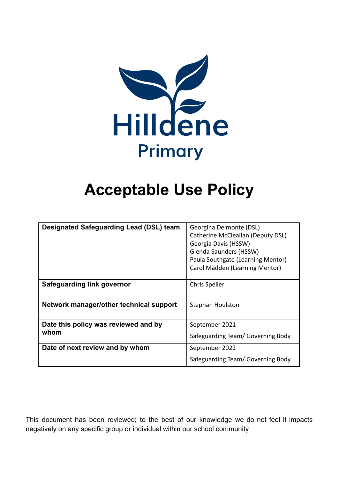

# **Acceptable Use Policy**

| <b>Designated Safeguarding Lead (DSL) team</b> | Georgina Delmonte (DSL)<br>Catherine McCleallan (Deputy DSL)<br>Georgia Davis (HSSW)<br>Glenda Saunders (HSSW)<br>Paula Southgate (Learning Mentor)<br>Carol Madden (Learning Mentor) |
|------------------------------------------------|---------------------------------------------------------------------------------------------------------------------------------------------------------------------------------------|
| <b>Safeguarding link governor</b>              | <b>Chris Speller</b>                                                                                                                                                                  |
| Network manager/other technical support        | Stephan Houlston                                                                                                                                                                      |
| Date this policy was reviewed and by<br>whom   | September 2021                                                                                                                                                                        |
|                                                | Safeguarding Team/ Governing Body                                                                                                                                                     |
| Date of next review and by whom                | September 2022                                                                                                                                                                        |
|                                                | Safeguarding Team/ Governing Body                                                                                                                                                     |

This document has been reviewed; to the best of our knowledge we do not feel it impacts negatively on any specific group or individual within our school community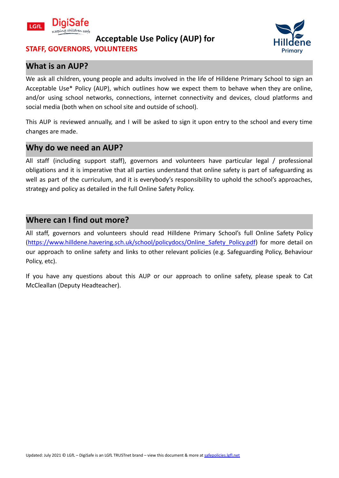

# **STAFF, GOVERNORS, VOLUNTEERS**

### **What is an AUP?**

We ask all children, young people and adults involved in the life of Hilldene Primary School to sign an Acceptable Use\* Policy (AUP), which outlines how we expect them to behave when they are online, and/or using school networks, connections, internet connectivity and devices, cloud platforms and social media (both when on school site and outside of school).

This AUP is reviewed annually, and I will be asked to sign it upon entry to the school and every time changes are made.

#### **Why do we need an AUP?**

All staff (including support staff), governors and volunteers have particular legal / professional obligations and it is imperative that all parties understand that online safety is part of safeguarding as well as part of the curriculum, and it is everybody's responsibility to uphold the school's approaches, strategy and policy as detailed in the full Online Safety Policy.

## **Where can I find out more?**

All staff, governors and volunteers should read Hilldene Primary School's full Online Safety Policy ([https://www.hilldene.havering.sch.uk/school/policydocs/Online\\_Safety\\_Policy.pdf](https://www.hilldene.havering.sch.uk/school/policydocs/Online_Safety_Policy.pdf)) for more detail on our approach to online safety and links to other relevant policies (e.g. Safeguarding Policy, Behaviour Policy, etc).

If you have any questions about this AUP or our approach to online safety, please speak to Cat McCleallan (Deputy Headteacher).

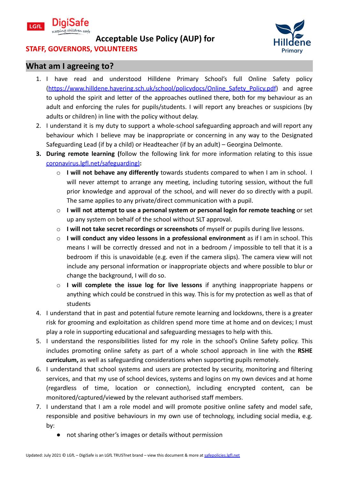



# **STAFF, GOVERNORS, VOLUNTEERS**

#### **What am I agreeing to?**

- 1. I have read and understood Hilldene Primary School's full Online Safety policy ([https://www.hilldene.havering.sch.uk/school/policydocs/Online\\_Safety\\_Policy.pdf](https://www.hilldene.havering.sch.uk/school/policydocs/Online_Safety_Policy.pdf)) and agree to uphold the spirit and letter of the approaches outlined there, both for my behaviour as an adult and enforcing the rules for pupils/students. I will report any breaches or suspicions (by adults or children) in line with the policy without delay.
- 2. I understand it is my duty to support a whole-school safeguarding approach and will report any behaviour which I believe may be inappropriate or concerning in any way to the Designated Safeguarding Lead (if by a child) or Headteacher (if by an adult) – Georgina Delmonte.
- **3. During remote learning (**follow the following link for more information relating to this issue [coronavirus.lgfl.net/safeguarding](https://coronavirus.lgfl.net/safeguarding))**:**
	- o **I will not behave any differently** towards students compared to when I am in school. I will never attempt to arrange any meeting, including tutoring session, without the full prior knowledge and approval of the school, and will never do so directly with a pupil. The same applies to any private/direct communication with a pupil.
	- o **I will not attempt to use a personal system or personal login for remote teaching** or set up any system on behalf of the school without SLT approval.
	- o **I will not take secret recordings or screenshots** of myself or pupils during live lessons.
	- o **I will conduct any video lessons in a professional environment** as if I am in school. This means I will be correctly dressed and not in a bedroom / impossible to tell that it is a bedroom if this is unavoidable (e.g. even if the camera slips). The camera view will not include any personal information or inappropriate objects and where possible to blur or change the background, I will do so.
	- o **I will complete the issue log for live lessons** if anything inappropriate happens or anything which could be construed in this way. This is for my protection as well as that of students
- 4. I understand that in past and potential future remote learning and lockdowns, there is a greater risk for grooming and exploitation as children spend more time at home and on devices; I must play a role in supporting educational and safeguarding messages to help with this.
- 5. I understand the responsibilities listed for my role in the school's Online Safety policy. This includes promoting online safety as part of a whole school approach in line with the **RSHE curriculum,** as well as safeguarding considerations when supporting pupils remotely.
- 6. I understand that school systems and users are protected by security, monitoring and filtering services, and that my use of school devices, systems and logins on my own devices and at home (regardless of time, location or connection), including encrypted content, can be monitored/captured/viewed by the relevant authorised staff members.
- 7. I understand that I am a role model and will promote positive online safety and model safe, responsible and positive behaviours in my own use of technology, including social media, e.g. by:
	- not sharing other's images or details without permission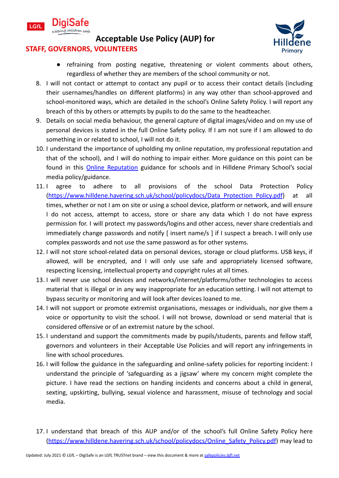



#### **STAFF, GOVERNORS, VOLUNTEERS**

- refraining from posting negative, threatening or violent comments about others, regardless of whether they are members of the school community or not.
- 8. I will not contact or attempt to contact any pupil or to access their contact details (including their usernames/handles on different platforms) in any way other than school-approved and school-monitored ways, which are detailed in the school's Online Safety Policy. I will report any breach of this by others or attempts by pupils to do the same to the headteacher.
- 9. Details on social media behaviour, the general capture of digital images/video and on my use of personal devices is stated in the full Online Safety policy. If I am not sure if I am allowed to do something in or related to school, I will not do it.
- 10. I understand the importance of upholding my online reputation, my professional reputation and that of the school), and I will do nothing to impair either. More guidance on this point can be found in this **Online [Reputation](http://onlinerep.lgfl.net)** guidance for schools and in Hilldene Primary School's social media policy/guidance.
- 11. I agree to adhere to all provisions of the school Data Protection Policy ([https://www.hilldene.havering.sch.uk/school/policydocs/Data\\_Protection\\_Policy.pdf\)](https://www.hilldene.havering.sch.uk/school/policydocs/Data_Protection_Policy.pdf) at all times, whether or not I am on site or using a school device, platform or network, and will ensure I do not access, attempt to access, store or share any data which I do not have express permission for. I will protect my passwords/logins and other access, never share credentials and immediately change passwords and notify [ insert name/s ] if I suspect a breach. I will only use complex passwords and not use the same password as for other systems.
- 12. I will not store school-related data on personal devices, storage or cloud platforms. USB keys, if allowed, will be encrypted, and I will only use safe and appropriately licensed software, respecting licensing, intellectual property and copyright rules at all times.
- 13. I will never use school devices and networks/internet/platforms/other technologies to access material that is illegal or in any way inappropriate for an education setting. I will not attempt to bypass security or monitoring and will look after devices loaned to me.
- 14. I will not support or promote extremist organisations, messages or individuals, nor give them a voice or opportunity to visit the school. I will not browse, download or send material that is considered offensive or of an extremist nature by the school.
- 15. I understand and support the commitments made by pupils/students, parents and fellow staff, governors and volunteers in their Acceptable Use Policies and will report any infringements in line with school procedures.
- 16. I will follow the guidance in the safeguarding and online-safety policies for reporting incident: I understand the principle of 'safeguarding as a jigsaw' where my concern might complete the picture. I have read the sections on handing incidents and concerns about a child in general, sexting, upskirting, bullying, sexual violence and harassment, misuse of technology and social media.
- 17. I understand that breach of this AUP and/or of the school's full Online Safety Policy here ([https://www.hilldene.havering.sch.uk/school/policydocs/Online\\_Safety\\_Policy.pdf](https://www.hilldene.havering.sch.uk/school/policydocs/Online_Safety_Policy.pdf)) may lead to